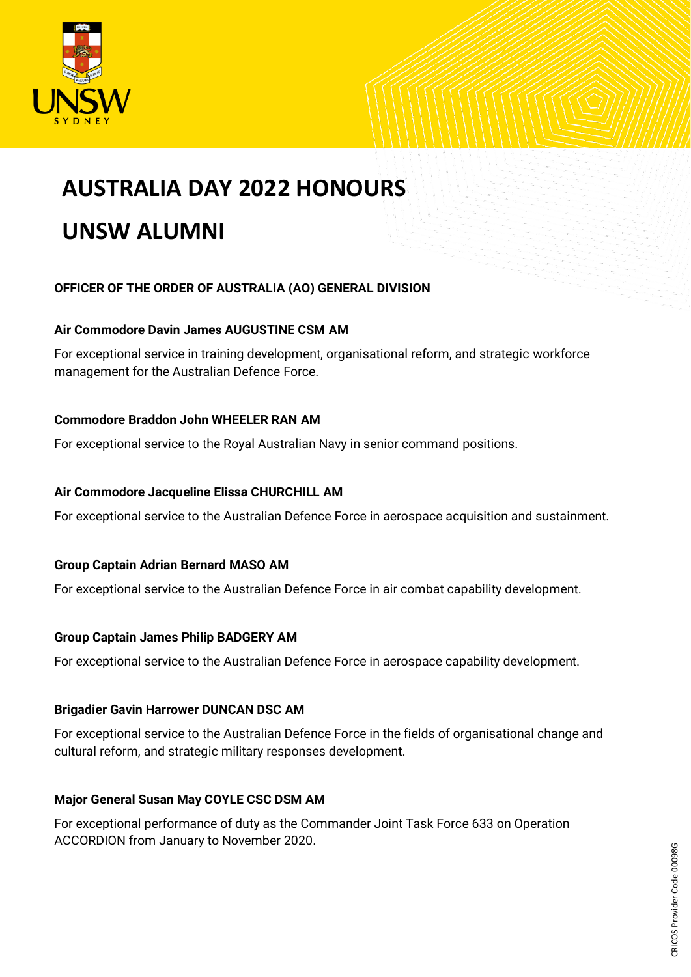

# **AUSTRALIA DAY 2022 HONOURS UNSW ALUMNI**

# **OFFICER OF THE ORDER OF AUSTRALIA (AO) GENERAL DIVISION**

## **Air Commodore Davin James AUGUSTINE CSM AM**

For exceptional service in training development, organisational reform, and strategic workforce management for the Australian Defence Force.

## **Commodore Braddon John WHEELER RAN AM**

For exceptional service to the Royal Australian Navy in senior command positions.

## **Air Commodore Jacqueline Elissa CHURCHILL AM**

For exceptional service to the Australian Defence Force in aerospace acquisition and sustainment.

## **Group Captain Adrian Bernard MASO AM**

For exceptional service to the Australian Defence Force in air combat capability development.

## **Group Captain James Philip BADGERY AM**

For exceptional service to the Australian Defence Force in aerospace capability development.

## **Brigadier Gavin Harrower DUNCAN DSC AM**

For exceptional service to the Australian Defence Force in the fields of organisational change and cultural reform, and strategic military responses development.

## **Major General Susan May COYLE CSC DSM AM**

For exceptional performance of duty as the Commander Joint Task Force 633 on Operation ACCORDION from January to November 2020.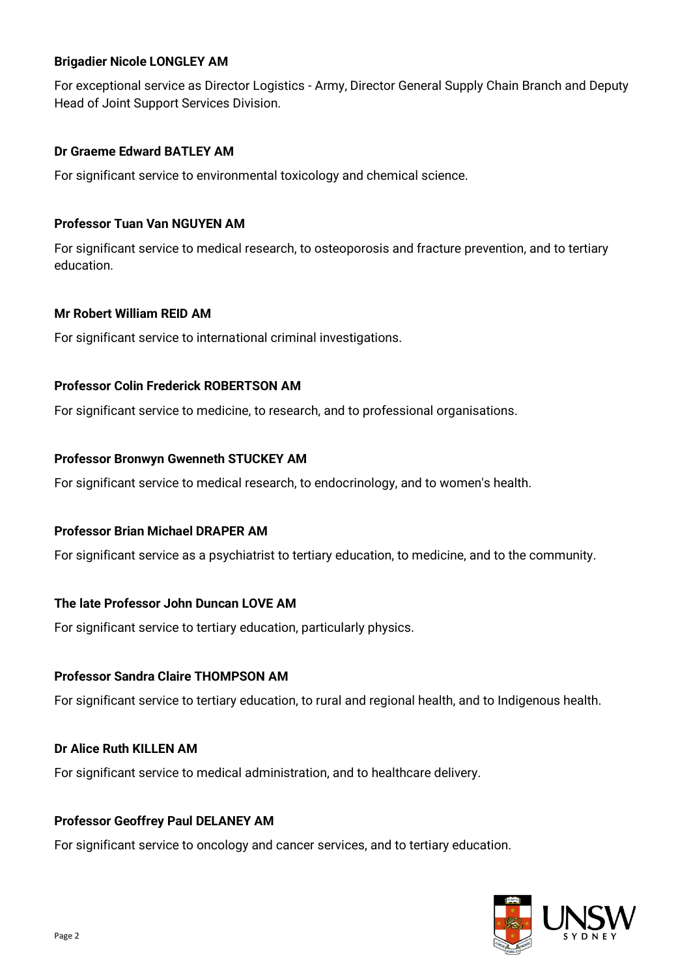## **Brigadier Nicole LONGLEY AM**

For exceptional service as Director Logistics - Army, Director General Supply Chain Branch and Deputy Head of Joint Support Services Division.

## **Dr Graeme Edward BATLEY AM**

For significant service to environmental toxicology and chemical science.

## **Professor Tuan Van NGUYEN AM**

For significant service to medical research, to osteoporosis and fracture prevention, and to tertiary education.

## **Mr Robert William REID AM**

For significant service to international criminal investigations.

## **Professor Colin Frederick ROBERTSON AM**

For significant service to medicine, to research, and to professional organisations.

## **Professor Bronwyn Gwenneth STUCKEY AM**

For significant service to medical research, to endocrinology, and to women's health.

## **Professor Brian Michael DRAPER AM**

For significant service as a psychiatrist to tertiary education, to medicine, and to the community.

## **The late Professor John Duncan LOVE AM**

For significant service to tertiary education, particularly physics.

## **Professor Sandra Claire THOMPSON AM**

For significant service to tertiary education, to rural and regional health, and to Indigenous health.

## **Dr Alice Ruth KILLEN AM**

For significant service to medical administration, and to healthcare delivery.

## **Professor Geoffrey Paul DELANEY AM**

For significant service to oncology and cancer services, and to tertiary education.

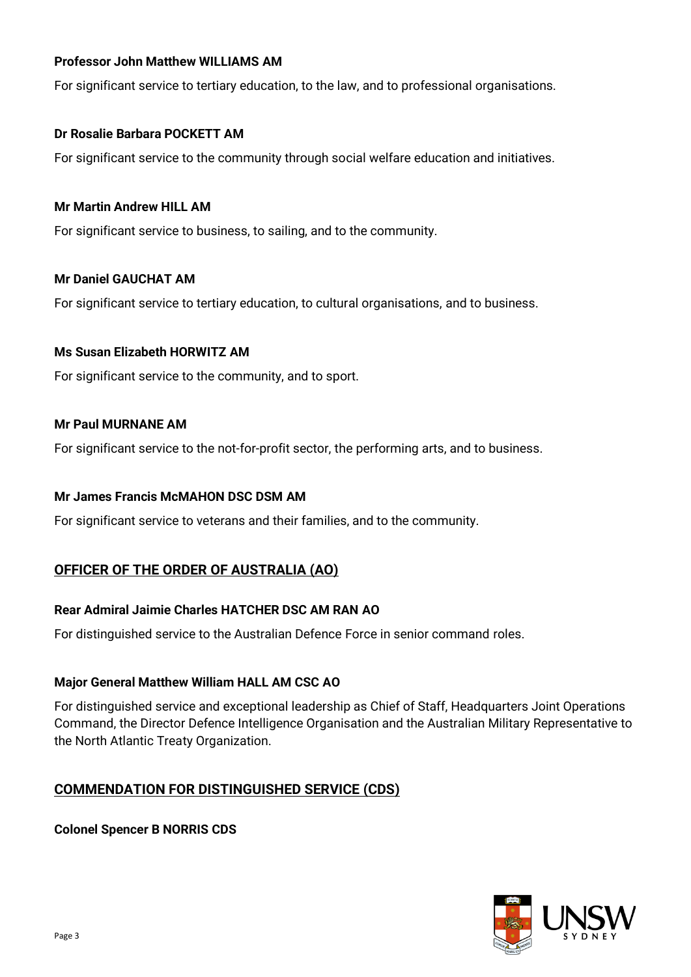## **Professor John Matthew WILLIAMS AM**

For significant service to tertiary education, to the law, and to professional organisations.

## **Dr Rosalie Barbara POCKETT AM**

For significant service to the community through social welfare education and initiatives.

## **Mr Martin Andrew HILL AM**

For significant service to business, to sailing, and to the community.

## **Mr Daniel GAUCHAT AM**

For significant service to tertiary education, to cultural organisations, and to business.

## **Ms Susan Elizabeth HORWITZ AM**

For significant service to the community, and to sport.

## **Mr Paul MURNANE AM**

For significant service to the not-for-profit sector, the performing arts, and to business.

## **Mr James Francis McMAHON DSC DSM AM**

For significant service to veterans and their families, and to the community.

## **OFFICER OF THE ORDER OF AUSTRALIA (AO)**

## **Rear Admiral Jaimie Charles HATCHER DSC AM RAN AO**

For distinguished service to the Australian Defence Force in senior command roles.

## **Major General Matthew William HALL AM CSC AO**

For distinguished service and exceptional leadership as Chief of Staff, Headquarters Joint Operations Command, the Director Defence Intelligence Organisation and the Australian Military Representative to the North Atlantic Treaty Organization.

# **COMMENDATION FOR DISTINGUISHED SERVICE (CDS)**

## **Colonel Spencer B NORRIS CDS**

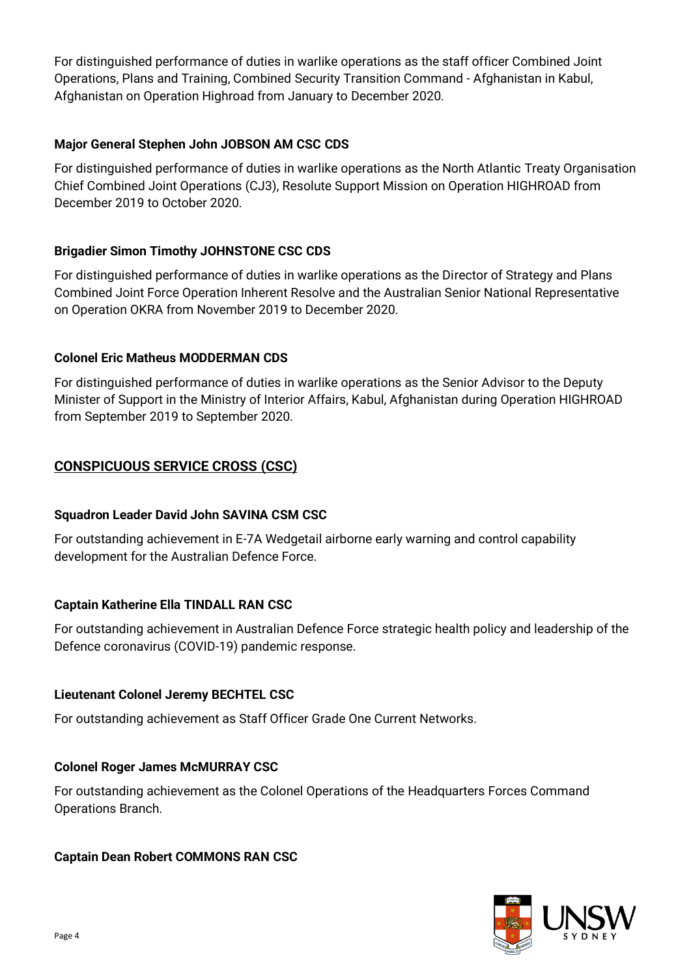For distinguished performance of duties in warlike operations as the staff officer Combined Joint Operations, Plans and Training, Combined Security Transition Command - Afghanistan in Kabul, Afghanistan on Operation Highroad from January to December 2020.

# **Major General Stephen John JOBSON AM CSC CDS**

For distinguished performance of duties in warlike operations as the North Atlantic Treaty Organisation Chief Combined Joint Operations (CJ3), Resolute Support Mission on Operation HIGHROAD from December 2019 to October 2020.

# **Brigadier Simon Timothy JOHNSTONE CSC CDS**

For distinguished performance of duties in warlike operations as the Director of Strategy and Plans Combined Joint Force Operation Inherent Resolve and the Australian Senior National Representative on Operation OKRA from November 2019 to December 2020.

## **Colonel Eric Matheus MODDERMAN CDS**

For distinguished performance of duties in warlike operations as the Senior Advisor to the Deputy Minister of Support in the Ministry of Interior Affairs, Kabul, Afghanistan during Operation HIGHROAD from September 2019 to September 2020.

# **CONSPICUOUS SERVICE CROSS (CSC)**

## **Squadron Leader David John SAVINA CSM CSC**

For outstanding achievement in E-7A Wedgetail airborne early warning and control capability development for the Australian Defence Force.

# **Captain Katherine Ella TINDALL RAN CSC**

For outstanding achievement in Australian Defence Force strategic health policy and leadership of the Defence coronavirus (COVID-19) pandemic response.

## **Lieutenant Colonel Jeremy BECHTEL CSC**

For outstanding achievement as Staff Officer Grade One Current Networks.

## **Colonel Roger James McMURRAY CSC**

For outstanding achievement as the Colonel Operations of the Headquarters Forces Command Operations Branch.

## **Captain Dean Robert COMMONS RAN CSC**

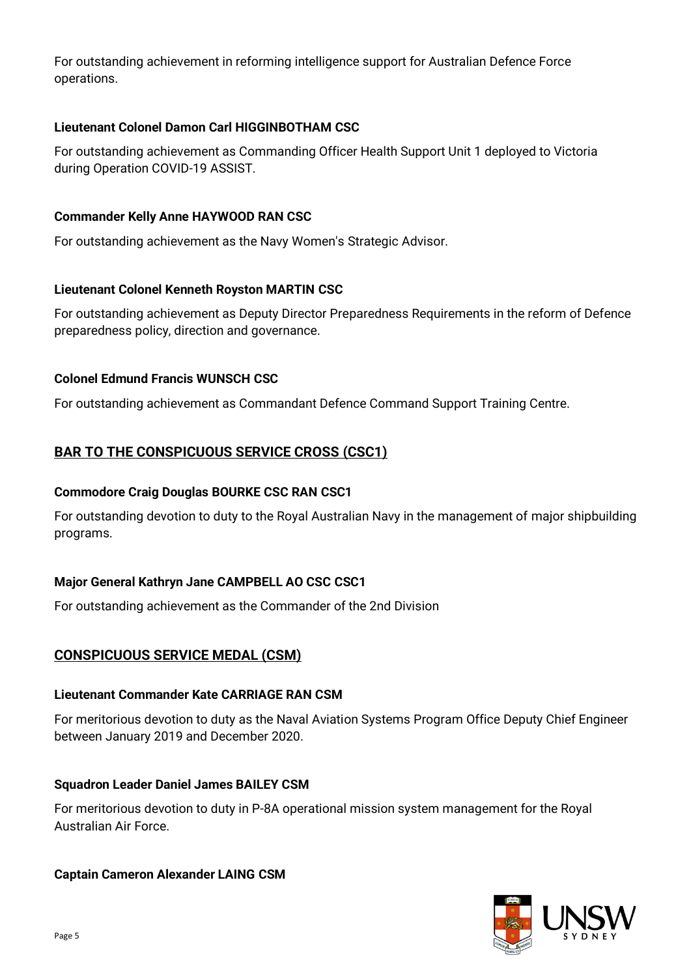For outstanding achievement in reforming intelligence support for Australian Defence Force operations.

# **Lieutenant Colonel Damon Carl HIGGINBOTHAM CSC**

For outstanding achievement as Commanding Officer Health Support Unit 1 deployed to Victoria during Operation COVID-19 ASSIST.

# **Commander Kelly Anne HAYWOOD RAN CSC**

For outstanding achievement as the Navy Women's Strategic Advisor.

# **Lieutenant Colonel Kenneth Royston MARTIN CSC**

For outstanding achievement as Deputy Director Preparedness Requirements in the reform of Defence preparedness policy, direction and governance.

# **Colonel Edmund Francis WUNSCH CSC**

For outstanding achievement as Commandant Defence Command Support Training Centre.

# **BAR TO THE CONSPICUOUS SERVICE CROSS (CSC1)**

## **Commodore Craig Douglas BOURKE CSC RAN CSC1**

For outstanding devotion to duty to the Royal Australian Navy in the management of major shipbuilding programs.

# **Major General Kathryn Jane CAMPBELL AO CSC CSC1**

For outstanding achievement as the Commander of the 2nd Division

# **CONSPICUOUS SERVICE MEDAL (CSM)**

## **Lieutenant Commander Kate CARRIAGE RAN CSM**

For meritorious devotion to duty as the Naval Aviation Systems Program Office Deputy Chief Engineer between January 2019 and December 2020.

## **Squadron Leader Daniel James BAILEY CSM**

For meritorious devotion to duty in P-8A operational mission system management for the Royal Australian Air Force.

# **Captain Cameron Alexander LAING CSM**

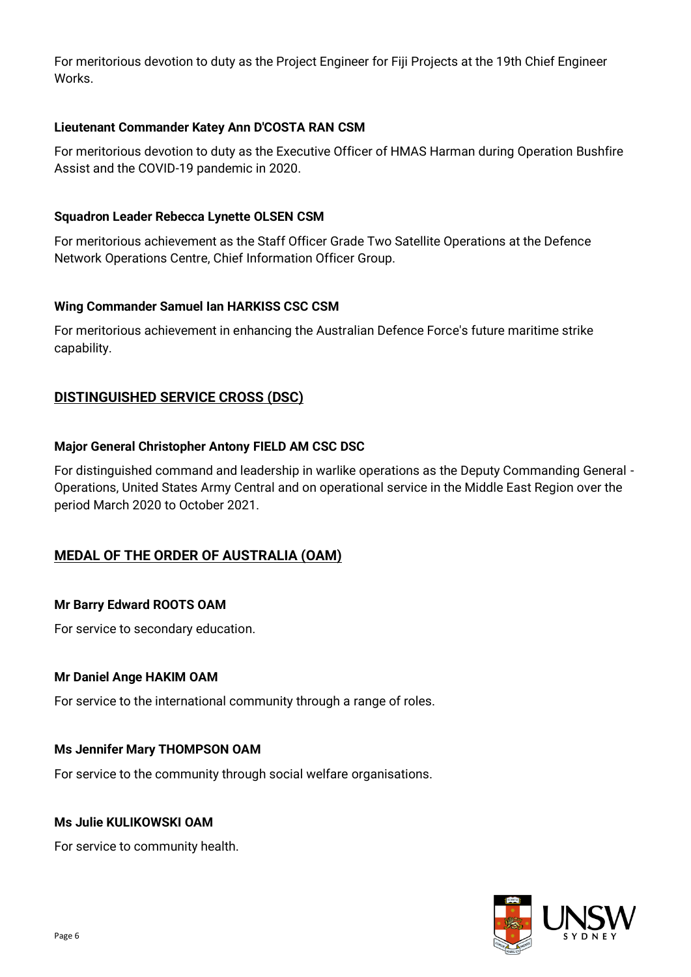For meritorious devotion to duty as the Project Engineer for Fiji Projects at the 19th Chief Engineer Works.

## **Lieutenant Commander Katey Ann D'COSTA RAN CSM**

For meritorious devotion to duty as the Executive Officer of HMAS Harman during Operation Bushfire Assist and the COVID-19 pandemic in 2020.

# **Squadron Leader Rebecca Lynette OLSEN CSM**

For meritorious achievement as the Staff Officer Grade Two Satellite Operations at the Defence Network Operations Centre, Chief Information Officer Group.

# **Wing Commander Samuel Ian HARKISS CSC CSM**

For meritorious achievement in enhancing the Australian Defence Force's future maritime strike capability.

# **DISTINGUISHED SERVICE CROSS (DSC)**

# **Major General Christopher Antony FIELD AM CSC DSC**

For distinguished command and leadership in warlike operations as the Deputy Commanding General - Operations, United States Army Central and on operational service in the Middle East Region over the period March 2020 to October 2021.

# **MEDAL OF THE ORDER OF AUSTRALIA (OAM)**

# **Mr Barry Edward ROOTS OAM**

For service to secondary education.

## **Mr Daniel Ange HAKIM OAM**

For service to the international community through a range of roles.

## **Ms Jennifer Mary THOMPSON OAM**

For service to the community through social welfare organisations.

## **Ms Julie KULIKOWSKI OAM**

For service to community health.

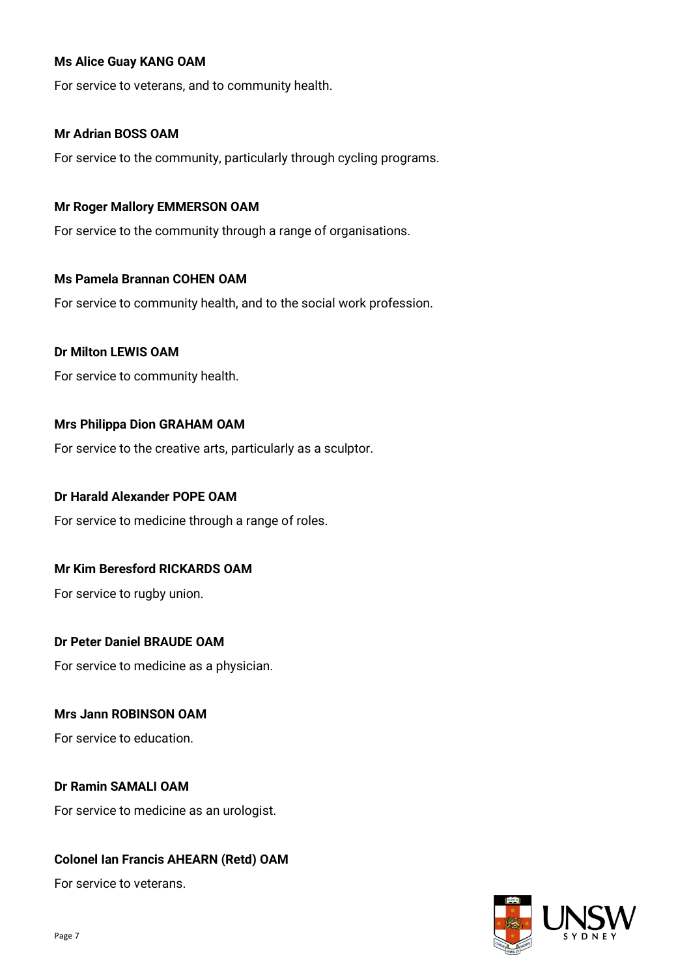## **Ms Alice Guay KANG OAM**

For service to veterans, and to community health.

## **Mr Adrian BOSS OAM**

For service to the community, particularly through cycling programs.

## **Mr Roger Mallory EMMERSON OAM**

For service to the community through a range of organisations.

## **Ms Pamela Brannan COHEN OAM**

For service to community health, and to the social work profession.

## **Dr Milton LEWIS OAM**

For service to community health.

## **Mrs Philippa Dion GRAHAM OAM**

For service to the creative arts, particularly as a sculptor.

## **Dr Harald Alexander POPE OAM**

For service to medicine through a range of roles.

## **Mr Kim Beresford RICKARDS OAM**

For service to rugby union.

## **Dr Peter Daniel BRAUDE OAM**

For service to medicine as a physician.

## **Mrs Jann ROBINSON OAM**

For service to education.

## **Dr Ramin SAMALI OAM**

For service to medicine as an urologist.

## **Colonel Ian Francis AHEARN (Retd) OAM**

For service to veterans.